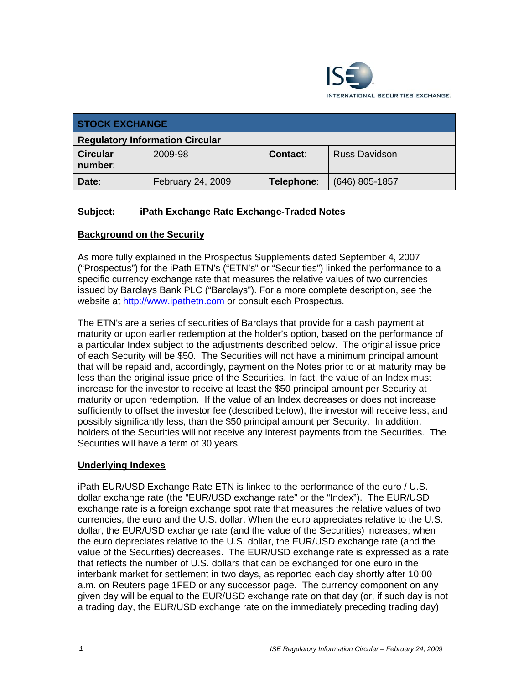

| <b>STOCK EXCHANGE</b>                  |                   |            |                      |
|----------------------------------------|-------------------|------------|----------------------|
| <b>Regulatory Information Circular</b> |                   |            |                      |
| <b>Circular</b><br>number:             | 2009-98           | Contact:   | <b>Russ Davidson</b> |
| Date:                                  | February 24, 2009 | Telephone: | $(646)$ 805-1857     |

### **Subject: iPath Exchange Rate Exchange-Traded Notes**

### **Background on the Security**

As more fully explained in the Prospectus Supplements dated September 4, 2007 ("Prospectus") for the iPath ETN's ("ETN's" or "Securities") linked the performance to a specific currency exchange rate that measures the relative values of two currencies issued by Barclays Bank PLC ("Barclays"). For a more complete description, see the website at http://www.jpathetn.com or consult each Prospectus.

The ETN's are a series of securities of Barclays that provide for a cash payment at maturity or upon earlier redemption at the holder's option, based on the performance of a particular Index subject to the adjustments described below. The original issue price of each Security will be \$50. The Securities will not have a minimum principal amount that will be repaid and, accordingly, payment on the Notes prior to or at maturity may be less than the original issue price of the Securities. In fact, the value of an Index must increase for the investor to receive at least the \$50 principal amount per Security at maturity or upon redemption. If the value of an Index decreases or does not increase sufficiently to offset the investor fee (described below), the investor will receive less, and possibly significantly less, than the \$50 principal amount per Security. In addition, holders of the Securities will not receive any interest payments from the Securities. The Securities will have a term of 30 years.

#### **Underlying Indexes**

iPath EUR/USD Exchange Rate ETN is linked to the performance of the euro / U.S. dollar exchange rate (the "EUR/USD exchange rate" or the "Index"). The EUR/USD exchange rate is a foreign exchange spot rate that measures the relative values of two currencies, the euro and the U.S. dollar. When the euro appreciates relative to the U.S. dollar, the EUR/USD exchange rate (and the value of the Securities) increases; when the euro depreciates relative to the U.S. dollar, the EUR/USD exchange rate (and the value of the Securities) decreases. The EUR/USD exchange rate is expressed as a rate that reflects the number of U.S. dollars that can be exchanged for one euro in the interbank market for settlement in two days, as reported each day shortly after 10:00 a.m. on Reuters page 1FED or any successor page. The currency component on any given day will be equal to the EUR/USD exchange rate on that day (or, if such day is not a trading day, the EUR/USD exchange rate on the immediately preceding trading day)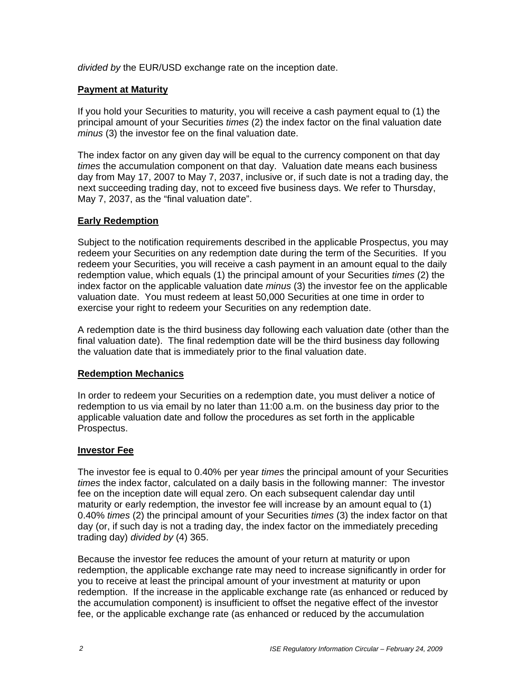*divided by* the EUR/USD exchange rate on the inception date.

#### **Payment at Maturity**

If you hold your Securities to maturity, you will receive a cash payment equal to (1) the principal amount of your Securities *times* (2) the index factor on the final valuation date *minus* (3) the investor fee on the final valuation date.

The index factor on any given day will be equal to the currency component on that day *times* the accumulation component on that day. Valuation date means each business day from May 17, 2007 to May 7, 2037, inclusive or, if such date is not a trading day, the next succeeding trading day, not to exceed five business days. We refer to Thursday, May 7, 2037, as the "final valuation date".

### **Early Redemption**

Subject to the notification requirements described in the applicable Prospectus, you may redeem your Securities on any redemption date during the term of the Securities. If you redeem your Securities, you will receive a cash payment in an amount equal to the daily redemption value, which equals (1) the principal amount of your Securities *times* (2) the index factor on the applicable valuation date *minus* (3) the investor fee on the applicable valuation date. You must redeem at least 50,000 Securities at one time in order to exercise your right to redeem your Securities on any redemption date.

A redemption date is the third business day following each valuation date (other than the final valuation date). The final redemption date will be the third business day following the valuation date that is immediately prior to the final valuation date.

#### **Redemption Mechanics**

In order to redeem your Securities on a redemption date, you must deliver a notice of redemption to us via email by no later than 11:00 a.m. on the business day prior to the applicable valuation date and follow the procedures as set forth in the applicable Prospectus.

#### **Investor Fee**

The investor fee is equal to 0.40% per year *times* the principal amount of your Securities *times* the index factor, calculated on a daily basis in the following manner: The investor fee on the inception date will equal zero. On each subsequent calendar day until maturity or early redemption, the investor fee will increase by an amount equal to (1) 0.40% *times* (2) the principal amount of your Securities *times* (3) the index factor on that day (or, if such day is not a trading day, the index factor on the immediately preceding trading day) *divided by* (4) 365.

Because the investor fee reduces the amount of your return at maturity or upon redemption, the applicable exchange rate may need to increase significantly in order for you to receive at least the principal amount of your investment at maturity or upon redemption. If the increase in the applicable exchange rate (as enhanced or reduced by the accumulation component) is insufficient to offset the negative effect of the investor fee, or the applicable exchange rate (as enhanced or reduced by the accumulation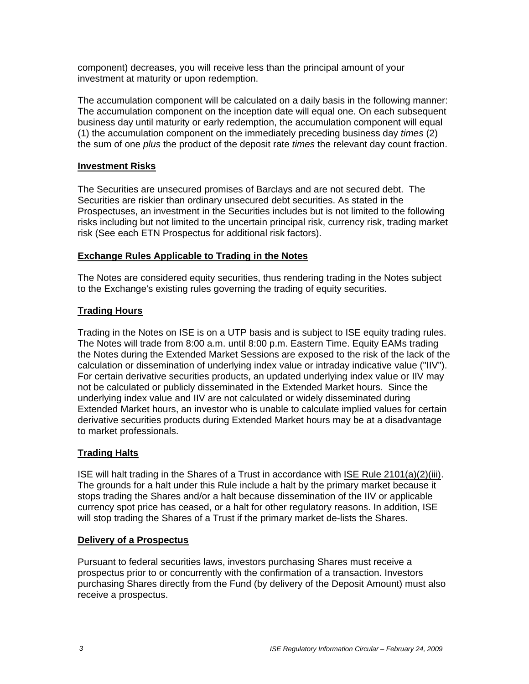component) decreases, you will receive less than the principal amount of your investment at maturity or upon redemption.

The accumulation component will be calculated on a daily basis in the following manner: The accumulation component on the inception date will equal one. On each subsequent business day until maturity or early redemption, the accumulation component will equal (1) the accumulation component on the immediately preceding business day *times* (2) the sum of one *plus* the product of the deposit rate *times* the relevant day count fraction.

#### **Investment Risks**

The Securities are unsecured promises of Barclays and are not secured debt. The Securities are riskier than ordinary unsecured debt securities. As stated in the Prospectuses, an investment in the Securities includes but is not limited to the following risks including but not limited to the uncertain principal risk, currency risk, trading market risk (See each ETN Prospectus for additional risk factors).

#### **Exchange Rules Applicable to Trading in the Notes**

The Notes are considered equity securities, thus rendering trading in the Notes subject to the Exchange's existing rules governing the trading of equity securities.

#### **Trading Hours**

Trading in the Notes on ISE is on a UTP basis and is subject to ISE equity trading rules. The Notes will trade from 8:00 a.m. until 8:00 p.m. Eastern Time. Equity EAMs trading the Notes during the Extended Market Sessions are exposed to the risk of the lack of the calculation or dissemination of underlying index value or intraday indicative value ("IIV"). For certain derivative securities products, an updated underlying index value or IIV may not be calculated or publicly disseminated in the Extended Market hours. Since the underlying index value and IIV are not calculated or widely disseminated during Extended Market hours, an investor who is unable to calculate implied values for certain derivative securities products during Extended Market hours may be at a disadvantage to market professionals.

#### **Trading Halts**

ISE will halt trading in the Shares of a Trust in accordance with ISE Rule 2101(a)(2)(iii). The grounds for a halt under this Rule include a halt by the primary market because it stops trading the Shares and/or a halt because dissemination of the IIV or applicable currency spot price has ceased, or a halt for other regulatory reasons. In addition, ISE will stop trading the Shares of a Trust if the primary market de-lists the Shares.

#### **Delivery of a Prospectus**

Pursuant to federal securities laws, investors purchasing Shares must receive a prospectus prior to or concurrently with the confirmation of a transaction. Investors purchasing Shares directly from the Fund (by delivery of the Deposit Amount) must also receive a prospectus.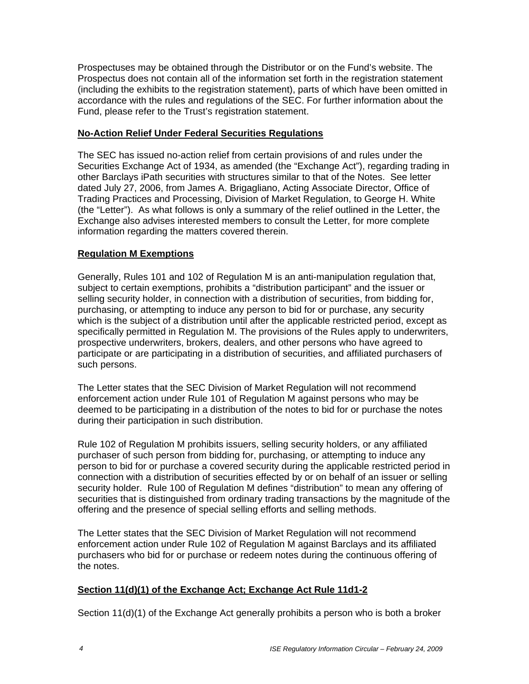Prospectuses may be obtained through the Distributor or on the Fund's website. The Prospectus does not contain all of the information set forth in the registration statement (including the exhibits to the registration statement), parts of which have been omitted in accordance with the rules and regulations of the SEC. For further information about the Fund, please refer to the Trust's registration statement.

#### **No-Action Relief Under Federal Securities Regulations**

The SEC has issued no-action relief from certain provisions of and rules under the Securities Exchange Act of 1934, as amended (the "Exchange Act"), regarding trading in other Barclays iPath securities with structures similar to that of the Notes. See letter dated July 27, 2006, from James A. Brigagliano, Acting Associate Director, Office of Trading Practices and Processing, Division of Market Regulation, to George H. White (the "Letter"). As what follows is only a summary of the relief outlined in the Letter, the Exchange also advises interested members to consult the Letter, for more complete information regarding the matters covered therein.

## **Regulation M Exemptions**

Generally, Rules 101 and 102 of Regulation M is an anti-manipulation regulation that, subject to certain exemptions, prohibits a "distribution participant" and the issuer or selling security holder, in connection with a distribution of securities, from bidding for, purchasing, or attempting to induce any person to bid for or purchase, any security which is the subject of a distribution until after the applicable restricted period, except as specifically permitted in Regulation M. The provisions of the Rules apply to underwriters, prospective underwriters, brokers, dealers, and other persons who have agreed to participate or are participating in a distribution of securities, and affiliated purchasers of such persons.

The Letter states that the SEC Division of Market Regulation will not recommend enforcement action under Rule 101 of Regulation M against persons who may be deemed to be participating in a distribution of the notes to bid for or purchase the notes during their participation in such distribution.

Rule 102 of Regulation M prohibits issuers, selling security holders, or any affiliated purchaser of such person from bidding for, purchasing, or attempting to induce any person to bid for or purchase a covered security during the applicable restricted period in connection with a distribution of securities effected by or on behalf of an issuer or selling security holder. Rule 100 of Regulation M defines "distribution" to mean any offering of securities that is distinguished from ordinary trading transactions by the magnitude of the offering and the presence of special selling efforts and selling methods.

The Letter states that the SEC Division of Market Regulation will not recommend enforcement action under Rule 102 of Regulation M against Barclays and its affiliated purchasers who bid for or purchase or redeem notes during the continuous offering of the notes.

## **Section 11(d)(1) of the Exchange Act; Exchange Act Rule 11d1-2**

Section 11(d)(1) of the Exchange Act generally prohibits a person who is both a broker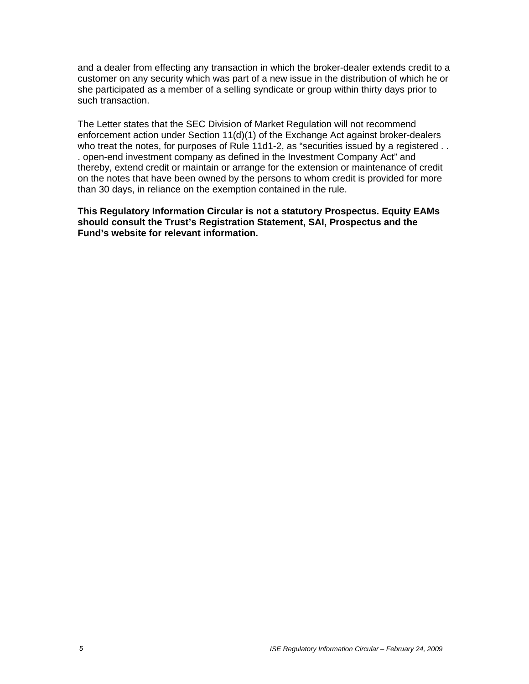and a dealer from effecting any transaction in which the broker-dealer extends credit to a customer on any security which was part of a new issue in the distribution of which he or she participated as a member of a selling syndicate or group within thirty days prior to such transaction.

The Letter states that the SEC Division of Market Regulation will not recommend enforcement action under Section 11(d)(1) of the Exchange Act against broker-dealers who treat the notes, for purposes of Rule 11d1-2, as "securities issued by a registered . . . open-end investment company as defined in the Investment Company Act" and thereby, extend credit or maintain or arrange for the extension or maintenance of credit on the notes that have been owned by the persons to whom credit is provided for more than 30 days, in reliance on the exemption contained in the rule.

**This Regulatory Information Circular is not a statutory Prospectus. Equity EAMs should consult the Trust's Registration Statement, SAI, Prospectus and the Fund's website for relevant information.**